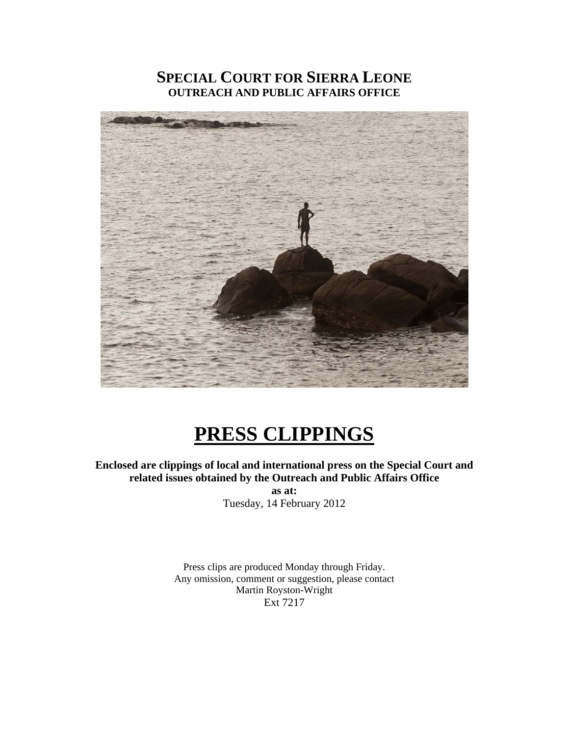### **SPECIAL COURT FOR SIERRA LEONE OUTREACH AND PUBLIC AFFAIRS OFFICE**



# **PRESS CLIPPINGS**

**Enclosed are clippings of local and international press on the Special Court and related issues obtained by the Outreach and Public Affairs Office** 

**as at:**  Tuesday, 14 February 2012

Press clips are produced Monday through Friday. Any omission, comment or suggestion, please contact Martin Royston-Wright Ext 7217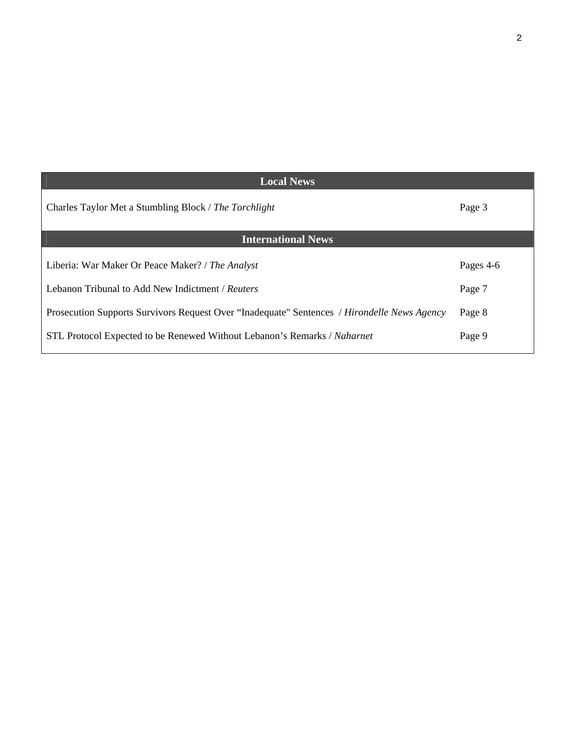| <b>Local News</b>                                                                           |           |
|---------------------------------------------------------------------------------------------|-----------|
| Charles Taylor Met a Stumbling Block / The Torchlight                                       | Page 3    |
| <b>International News</b>                                                                   |           |
| Liberia: War Maker Or Peace Maker? / The Analyst                                            | Pages 4-6 |
| Lebanon Tribunal to Add New Indictment / Reuters                                            | Page 7    |
| Prosecution Supports Survivors Request Over "Inadequate" Sentences / Hirondelle News Agency | Page 8    |
| STL Protocol Expected to be Renewed Without Lebanon's Remarks / Naharnet                    | Page 9    |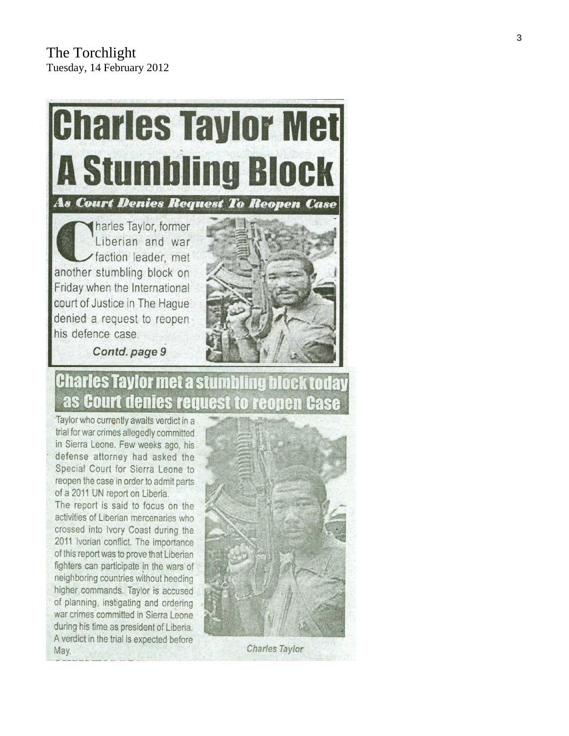

## **Charles Taylor met a stumbling block today** as Court denies request to reopen Case

Taylor who currently awaits verdict in a trial for war crimes allegedly committed in Sierra Leone. Few weeks ago, his defense attorney had asked the Special Court for Sierra Leone to reopen the case in order to admit parts of a 2011 UN report on Liberia.

The report is said to focus on the activities of Liberian mercenaries who crossed into Ivory Coast during the 2011 Ivorian conflict. The importance of this report was to prove that Liberian fighters can participate in the wars of neighboring countries without heeding higher commands. Taylor is accused of planning, instigating and ordering war crimes committed in Sierra Leone during his time as president of Liberia. A verdict in the trial is expected before May.



Charles Taylor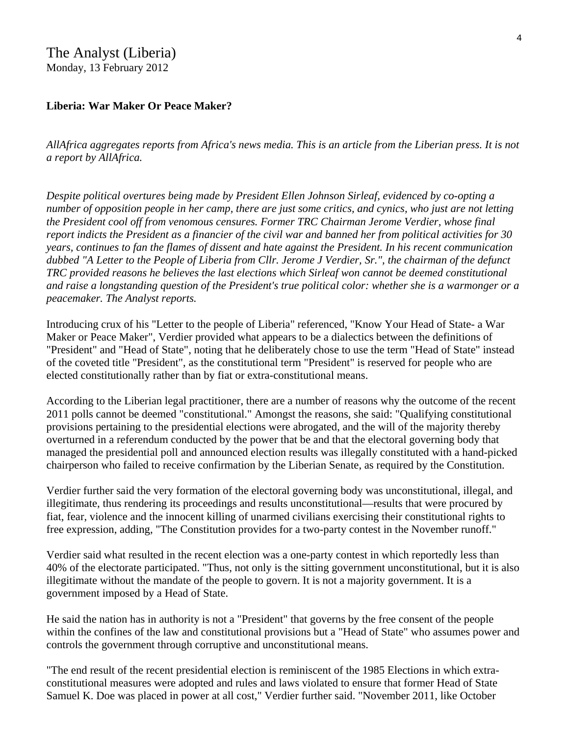### The Analyst (Liberia) Monday, 13 February 2012

### **Liberia: War Maker Or Peace Maker?**

*AllAfrica aggregates reports from Africa's news media. This is an article from the Liberian press. It is not a report by AllAfrica.* 

*Despite political overtures being made by President Ellen Johnson Sirleaf, evidenced by co-opting a number of opposition people in her camp, there are just some critics, and cynics, who just are not letting the President cool off from venomous censures. Former TRC Chairman Jerome Verdier, whose final report indicts the President as a financier of the civil war and banned her from political activities for 30 years, continues to fan the flames of dissent and hate against the President. In his recent communication dubbed "A Letter to the People of Liberia from Cllr. Jerome J Verdier, Sr.", the chairman of the defunct TRC provided reasons he believes the last elections which Sirleaf won cannot be deemed constitutional and raise a longstanding question of the President's true political color: whether she is a warmonger or a peacemaker. The Analyst reports.* 

Introducing crux of his "Letter to the people of Liberia" referenced, "Know Your Head of State- a War Maker or Peace Maker", Verdier provided what appears to be a dialectics between the definitions of "President" and "Head of State", noting that he deliberately chose to use the term "Head of State" instead of the coveted title "President", as the constitutional term "President" is reserved for people who are elected constitutionally rather than by fiat or extra-constitutional means.

According to the Liberian legal practitioner, there are a number of reasons why the outcome of the recent 2011 polls cannot be deemed "constitutional." Amongst the reasons, she said: "Qualifying constitutional provisions pertaining to the presidential elections were abrogated, and the will of the majority thereby overturned in a referendum conducted by the power that be and that the electoral governing body that managed the presidential poll and announced election results was illegally constituted with a hand-picked chairperson who failed to receive confirmation by the Liberian Senate, as required by the Constitution.

Verdier further said the very formation of the electoral governing body was unconstitutional, illegal, and illegitimate, thus rendering its proceedings and results unconstitutional—results that were procured by fiat, fear, violence and the innocent killing of unarmed civilians exercising their constitutional rights to free expression, adding, "The Constitution provides for a two-party contest in the November runoff."

Verdier said what resulted in the recent election was a one-party contest in which reportedly less than 40% of the electorate participated. "Thus, not only is the sitting government unconstitutional, but it is also illegitimate without the mandate of the people to govern. It is not a majority government. It is a government imposed by a Head of State.

He said the nation has in authority is not a "President" that governs by the free consent of the people within the confines of the law and constitutional provisions but a "Head of State" who assumes power and controls the government through corruptive and unconstitutional means.

"The end result of the recent presidential election is reminiscent of the 1985 Elections in which extraconstitutional measures were adopted and rules and laws violated to ensure that former Head of State Samuel K. Doe was placed in power at all cost," Verdier further said. "November 2011, like October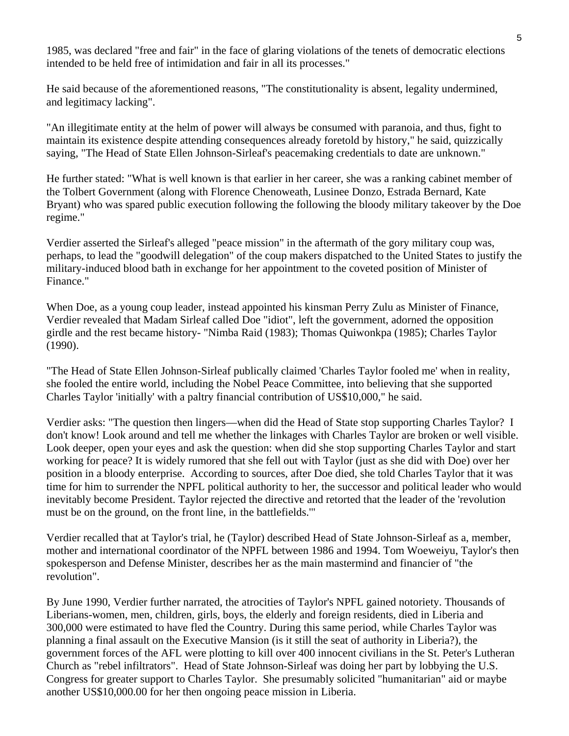1985, was declared "free and fair" in the face of glaring violations of the tenets of democratic elections intended to be held free of intimidation and fair in all its processes."

He said because of the aforementioned reasons, "The constitutionality is absent, legality undermined, and legitimacy lacking".

"An illegitimate entity at the helm of power will always be consumed with paranoia, and thus, fight to maintain its existence despite attending consequences already foretold by history," he said, quizzically saying, "The Head of State Ellen Johnson-Sirleaf's peacemaking credentials to date are unknown."

He further stated: "What is well known is that earlier in her career, she was a ranking cabinet member of the Tolbert Government (along with Florence Chenoweath, Lusinee Donzo, Estrada Bernard, Kate Bryant) who was spared public execution following the following the bloody military takeover by the Doe regime."

Verdier asserted the Sirleaf's alleged "peace mission" in the aftermath of the gory military coup was, perhaps, to lead the "goodwill delegation" of the coup makers dispatched to the United States to justify the military-induced blood bath in exchange for her appointment to the coveted position of Minister of Finance."

When Doe, as a young coup leader, instead appointed his kinsman Perry Zulu as Minister of Finance, Verdier revealed that Madam Sirleaf called Doe "idiot", left the government, adorned the opposition girdle and the rest became history- "Nimba Raid (1983); Thomas Quiwonkpa (1985); Charles Taylor (1990).

"The Head of State Ellen Johnson-Sirleaf publically claimed 'Charles Taylor fooled me' when in reality, she fooled the entire world, including the Nobel Peace Committee, into believing that she supported Charles Taylor 'initially' with a paltry financial contribution of US\$10,000," he said.

Verdier asks: "The question then lingers—when did the Head of State stop supporting Charles Taylor? I don't know! Look around and tell me whether the linkages with Charles Taylor are broken or well visible. Look deeper, open your eyes and ask the question: when did she stop supporting Charles Taylor and start working for peace? It is widely rumored that she fell out with Taylor (just as she did with Doe) over her position in a bloody enterprise. According to sources, after Doe died, she told Charles Taylor that it was time for him to surrender the NPFL political authority to her, the successor and political leader who would inevitably become President. Taylor rejected the directive and retorted that the leader of the 'revolution must be on the ground, on the front line, in the battlefields.'"

Verdier recalled that at Taylor's trial, he (Taylor) described Head of State Johnson-Sirleaf as a, member, mother and international coordinator of the NPFL between 1986 and 1994. Tom Woeweiyu, Taylor's then spokesperson and Defense Minister, describes her as the main mastermind and financier of "the revolution".

By June 1990, Verdier further narrated, the atrocities of Taylor's NPFL gained notoriety. Thousands of Liberians-women, men, children, girls, boys, the elderly and foreign residents, died in Liberia and 300,000 were estimated to have fled the Country. During this same period, while Charles Taylor was planning a final assault on the Executive Mansion (is it still the seat of authority in Liberia?), the government forces of the AFL were plotting to kill over 400 innocent civilians in the St. Peter's Lutheran Church as "rebel infiltrators". Head of State Johnson-Sirleaf was doing her part by lobbying the U.S. Congress for greater support to Charles Taylor. She presumably solicited "humanitarian" aid or maybe another US\$10,000.00 for her then ongoing peace mission in Liberia.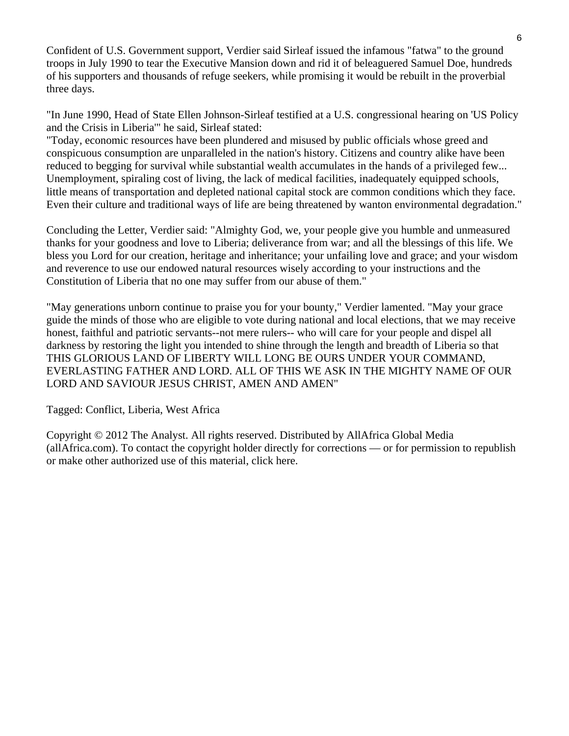Confident of U.S. Government support, Verdier said Sirleaf issued the infamous "fatwa" to the ground troops in July 1990 to tear the Executive Mansion down and rid it of beleaguered Samuel Doe, hundreds of his supporters and thousands of refuge seekers, while promising it would be rebuilt in the proverbial three days.

"In June 1990, Head of State Ellen Johnson-Sirleaf testified at a U.S. congressional hearing on 'US Policy and the Crisis in Liberia'" he said, Sirleaf stated:

"Today, economic resources have been plundered and misused by public officials whose greed and conspicuous consumption are unparalleled in the nation's history. Citizens and country alike have been reduced to begging for survival while substantial wealth accumulates in the hands of a privileged few... Unemployment, spiraling cost of living, the lack of medical facilities, inadequately equipped schools, little means of transportation and depleted national capital stock are common conditions which they face. Even their culture and traditional ways of life are being threatened by wanton environmental degradation."

Concluding the Letter, Verdier said: "Almighty God, we, your people give you humble and unmeasured thanks for your goodness and love to Liberia; deliverance from war; and all the blessings of this life. We bless you Lord for our creation, heritage and inheritance; your unfailing love and grace; and your wisdom and reverence to use our endowed natural resources wisely according to your instructions and the Constitution of Liberia that no one may suffer from our abuse of them."

"May generations unborn continue to praise you for your bounty," Verdier lamented. "May your grace guide the minds of those who are eligible to vote during national and local elections, that we may receive honest, faithful and patriotic servants--not mere rulers-- who will care for your people and dispel all darkness by restoring the light you intended to shine through the length and breadth of Liberia so that THIS GLORIOUS LAND OF LIBERTY WILL LONG BE OURS UNDER YOUR COMMAND, EVERLASTING FATHER AND LORD. ALL OF THIS WE ASK IN THE MIGHTY NAME OF OUR LORD AND SAVIOUR JESUS CHRIST, AMEN AND AMEN"

Tagged: Conflict, Liberia, West Africa

Copyright © 2012 The Analyst. All rights reserved. Distributed by AllAfrica Global Media (allAfrica.com). To contact the copyright holder directly for corrections — or for permission to republish or make other authorized use of this material, click here.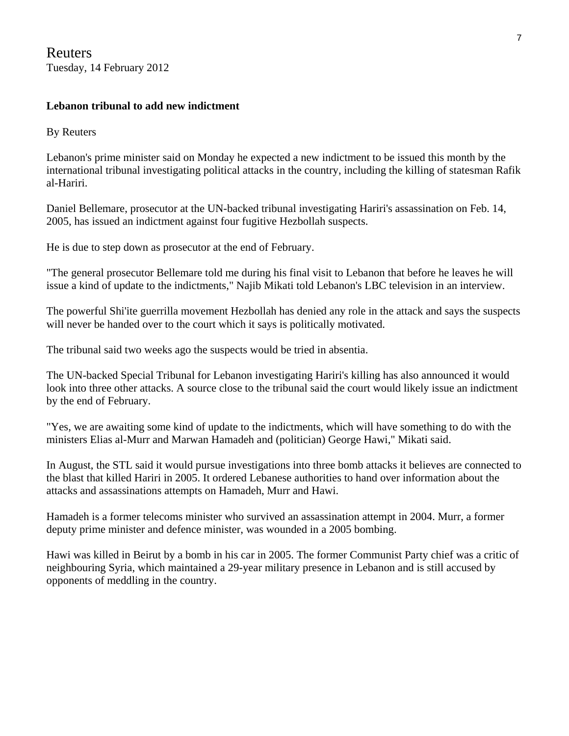Reuters Tuesday, 14 February 2012

### **Lebanon tribunal to add new indictment**

By Reuters

Lebanon's prime minister said on Monday he expected a new indictment to be issued this month by the international tribunal investigating political attacks in the country, including the killing of statesman Rafik al-Hariri.

Daniel Bellemare, prosecutor at the UN-backed tribunal investigating Hariri's assassination on Feb. 14, 2005, has issued an indictment against four fugitive Hezbollah suspects.

He is due to step down as prosecutor at the end of February.

"The general prosecutor Bellemare told me during his final visit to Lebanon that before he leaves he will issue a kind of update to the indictments," Najib Mikati told Lebanon's LBC television in an interview.

The powerful Shi'ite guerrilla movement Hezbollah has denied any role in the attack and says the suspects will never be handed over to the court which it says is politically motivated.

The tribunal said two weeks ago the suspects would be tried in absentia.

The UN-backed Special Tribunal for Lebanon investigating Hariri's killing has also announced it would look into three other attacks. A source close to the tribunal said the court would likely issue an indictment by the end of February.

"Yes, we are awaiting some kind of update to the indictments, which will have something to do with the ministers Elias al-Murr and Marwan Hamadeh and (politician) George Hawi," Mikati said.

In August, the STL said it would pursue investigations into three bomb attacks it believes are connected to the blast that killed Hariri in 2005. It ordered Lebanese authorities to hand over information about the attacks and assassinations attempts on Hamadeh, Murr and Hawi.

Hamadeh is a former telecoms minister who survived an assassination attempt in 2004. Murr, a former deputy prime minister and defence minister, was wounded in a 2005 bombing.

Hawi was killed in Beirut by a bomb in his car in 2005. The former Communist Party chief was a critic of neighbouring Syria, which maintained a 29-year military presence in Lebanon and is still accused by opponents of meddling in the country.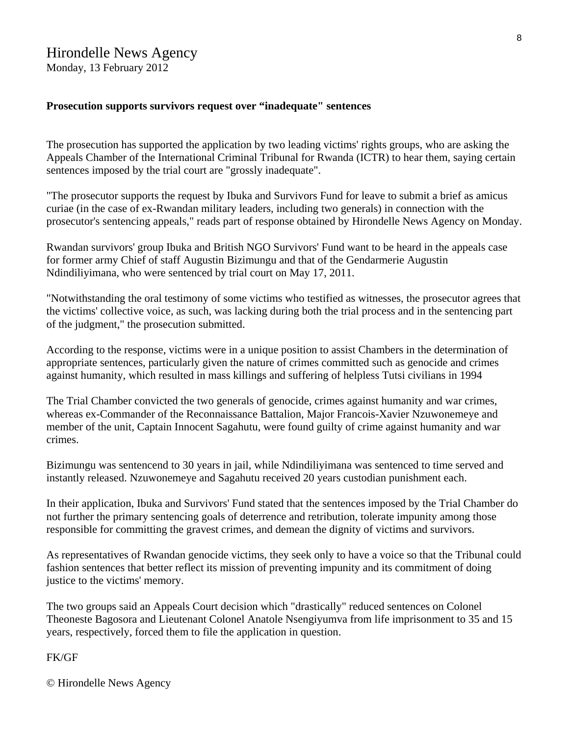### Hirondelle News Agency

Monday, 13 February 2012

#### **Prosecution supports survivors request over "inadequate" sentences**

The prosecution has supported the application by two leading victims' rights groups, who are asking the Appeals Chamber of the International Criminal Tribunal for Rwanda (ICTR) to hear them, saying certain sentences imposed by the trial court are "grossly inadequate".

"The prosecutor supports the request by Ibuka and Survivors Fund for leave to submit a brief as amicus curiae (in the case of ex-Rwandan military leaders, including two generals) in connection with the prosecutor's sentencing appeals," reads part of response obtained by Hirondelle News Agency on Monday.

Rwandan survivors' group Ibuka and British NGO Survivors' Fund want to be heard in the appeals case for former army Chief of staff Augustin Bizimungu and that of the Gendarmerie Augustin Ndindiliyimana, who were sentenced by trial court on May 17, 2011.

"Notwithstanding the oral testimony of some victims who testified as witnesses, the prosecutor agrees that the victims' collective voice, as such, was lacking during both the trial process and in the sentencing part of the judgment," the prosecution submitted.

According to the response, victims were in a unique position to assist Chambers in the determination of appropriate sentences, particularly given the nature of crimes committed such as genocide and crimes against humanity, which resulted in mass killings and suffering of helpless Tutsi civilians in 1994

The Trial Chamber convicted the two generals of genocide, crimes against humanity and war crimes, whereas ex-Commander of the Reconnaissance Battalion, Major Francois-Xavier Nzuwonemeye and member of the unit, Captain Innocent Sagahutu, were found guilty of crime against humanity and war crimes.

Bizimungu was sentencend to 30 years in jail, while Ndindiliyimana was sentenced to time served and instantly released. Nzuwonemeye and Sagahutu received 20 years custodian punishment each.

In their application, Ibuka and Survivors' Fund stated that the sentences imposed by the Trial Chamber do not further the primary sentencing goals of deterrence and retribution, tolerate impunity among those responsible for committing the gravest crimes, and demean the dignity of victims and survivors.

As representatives of Rwandan genocide victims, they seek only to have a voice so that the Tribunal could fashion sentences that better reflect its mission of preventing impunity and its commitment of doing justice to the victims' memory.

The two groups said an Appeals Court decision which "drastically" reduced sentences on Colonel Theoneste Bagosora and Lieutenant Colonel Anatole Nsengiyumva from life imprisonment to 35 and 15 years, respectively, forced them to file the application in question.

#### FK/GF

© Hirondelle News Agency